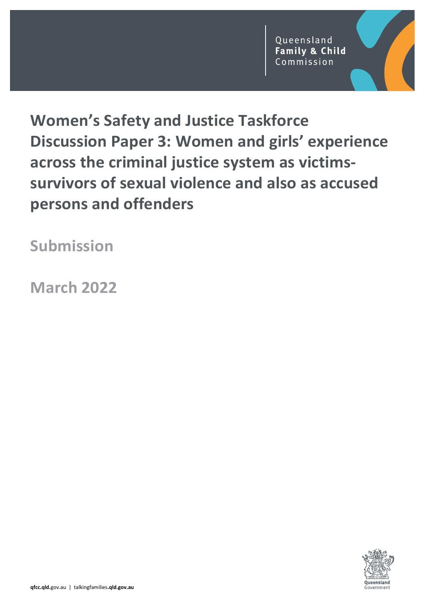# Women's Safety and Justice Taskforce Discussion Paper 3: Women and girls' experience across the criminal justice system as victimssurvivors of sexual violence and also as accused persons and offenders

Submission

March 2022

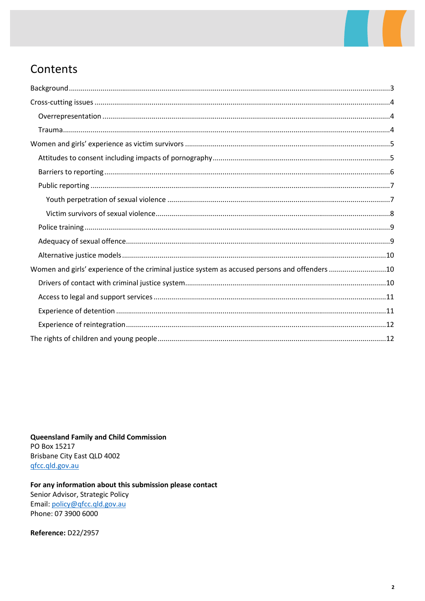

## Contents

| Women and girls' experience of the criminal justice system as accused persons and offenders 10 |  |
|------------------------------------------------------------------------------------------------|--|
|                                                                                                |  |
|                                                                                                |  |
|                                                                                                |  |
|                                                                                                |  |
|                                                                                                |  |

**Queensland Family and Child Commission** PO Box 15217 Brisbane City East QLD 4002 gfcc.qld.gov.au

For any information about this submission please contact Senior Advisor, Strategic Policy Email: policy@qfcc.qld.gov.au Phone: 07 3900 6000

Reference: D22/2957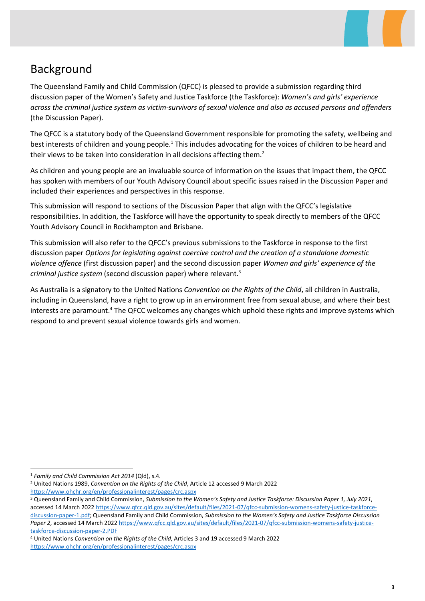

## Background

The Queensland Family and Child Commission (QFCC) is pleased to provide a submission regarding third discussion paper of the Women's Safety and Justice Taskforce (the Taskforce): Women's and girls' experience across the criminal justice system as victim-survivors of sexual violence and also as accused persons and offenders (the Discussion Paper).

The QFCC is a statutory body of the Queensland Government responsible for promoting the safety, wellbeing and best interests of children and young people.<sup>1</sup> This includes advocating for the voices of children to be heard and their views to be taken into consideration in all decisions affecting them.<sup>2</sup>

As children and young people are an invaluable source of information on the issues that impact them, the QFCC has spoken with members of our Youth Advisory Council about specific issues raised in the Discussion Paper and included their experiences and perspectives in this response.

This submission will respond to sections of the Discussion Paper that align with the QFCC's legislative responsibilities. In addition, the Taskforce will have the opportunity to speak directly to members of the QFCC Youth Advisory Council in Rockhampton and Brisbane.

This submission will also refer to the QFCC's previous submissions to the Taskforce in response to the first discussion paper Options for legislating against coercive control and the creation of a standalone domestic violence offence (first discussion paper) and the second discussion paper Women and girls' experience of the criminal justice system (second discussion paper) where relevant.<sup>3</sup>

As Australia is a signatory to the United Nations Convention on the Rights of the Child, all children in Australia, including in Queensland, have a right to grow up in an environment free from sexual abuse, and where their best interests are paramount.<sup>4</sup> The QFCC welcomes any changes which uphold these rights and improve systems which respond to and prevent sexual violence towards girls and women.

<sup>&</sup>lt;sup>1</sup> Family and Child Commission Act 2014 (Qld), s.4.

<sup>&</sup>lt;sup>2</sup> United Nations 1989, Convention on the Rights of the Child, Article 12 accessed 9 March 2022 https://www.ohchr.org/en/professionalinterest/pages/crc.aspx

<sup>&</sup>lt;sup>3</sup> Queensland Family and Child Commission, Submission to the Women's Safety and Justice Taskforce: Discussion Paper 1, July 2021, accessed 14 March 2022 https://www.qfcc.qld.gov.au/sites/default/files/2021-07/qfcc-submission-womens-safety-justice-taskforcediscussion-paper-1.pdf; Queensland Family and Child Commission, Submission to the Women's Safety and Justice Taskforce Discussion Paper 2, accessed 14 March 2022 https://www.qfcc.qld.gov.au/sites/default/files/2021-07/qfcc-submission-womens-safety-justicetaskforce-discussion-paper-2.PDF

<sup>4</sup> United Nations Convention on the Rights of the Child, Articles 3 and 19 accessed 9 March 2022 https://www.ohchr.org/en/professionalinterest/pages/crc.aspx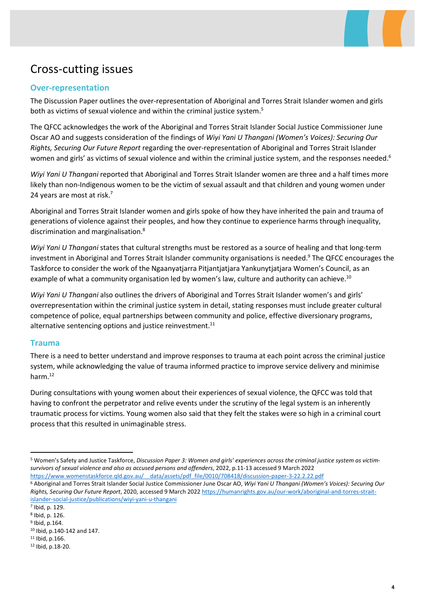## Cross-cutting issues

#### Over-representation

The Discussion Paper outlines the over-representation of Aboriginal and Torres Strait Islander women and girls both as victims of sexual violence and within the criminal justice system.<sup>5</sup>

The QFCC acknowledges the work of the Aboriginal and Torres Strait Islander Social Justice Commissioner June Oscar AO and suggests consideration of the findings of Wiyi Yani U Thangani (Women's Voices): Securing Our Rights, Securing Our Future Report regarding the over-representation of Aboriginal and Torres Strait Islander women and girls' as victims of sexual violence and within the criminal justice system, and the responses needed.<sup>6</sup>

Wiyi Yani U Thangani reported that Aboriginal and Torres Strait Islander women are three and a half times more likely than non-Indigenous women to be the victim of sexual assault and that children and young women under 24 years are most at risk.<sup>7</sup>

Aboriginal and Torres Strait Islander women and girls spoke of how they have inherited the pain and trauma of generations of violence against their peoples, and how they continue to experience harms through inequality, discrimination and marginalisation.<sup>8</sup>

Wiyi Yani U Thangani states that cultural strengths must be restored as a source of healing and that long-term investment in Aboriginal and Torres Strait Islander community organisations is needed.<sup>9</sup> The QFCC encourages the Taskforce to consider the work of the Ngaanyatjarra Pitjantjatjara Yankunytjatjara Women's Council, as an example of what a community organisation led by women's law, culture and authority can achieve.<sup>10</sup>

Wiyi Yani U Thangani also outlines the drivers of Aboriginal and Torres Strait Islander women's and girls' overrepresentation within the criminal justice system in detail, stating responses must include greater cultural competence of police, equal partnerships between community and police, effective diversionary programs, alternative sentencing options and justice reinvestment. $11$ 

#### Trauma

There is a need to better understand and improve responses to trauma at each point across the criminal justice system, while acknowledging the value of trauma informed practice to improve service delivery and minimise harm.<sup>12</sup>

During consultations with young women about their experiences of sexual violence, the QFCC was told that having to confront the perpetrator and relive events under the scrutiny of the legal system is an inherently traumatic process for victims. Young women also said that they felt the stakes were so high in a criminal court process that this resulted in unimaginable stress.

<sup>&</sup>lt;sup>5</sup> Women's Safety and Justice Taskforce, Discussion Paper 3: Women and girls' experiences across the criminal justice system as victimsurvivors of sexual violence and also as accused persons and offenders, 2022, p.11-13 accessed 9 March 2022

https://www.womenstaskforce.qld.gov.au/ data/assets/pdf\_file/0010/708418/discussion-paper-3-22.2.22.pdf

<sup>&</sup>lt;sup>6</sup> Aboriginal and Torres Strait Islander Social Justice Commissioner June Oscar AO, Wiyi Yani U Thangani (Women's Voices): Securing Our Rights, Securing Our Future Report, 2020, accessed 9 March 2022 https://humanrights.gov.au/our-work/aboriginal-and-torres-straitislander-social-justice/publications/wiyi-yani-u-thangani

<sup>7</sup> Ibid, p. 129.

<sup>8</sup> Ibid, p. 126.

<sup>9</sup> Ibid, p.164. <sup>10</sup> Ibid, p.140-142 and 147.

<sup>11</sup> Ibid, p.166.

<sup>12</sup> Ibid, p.18-20.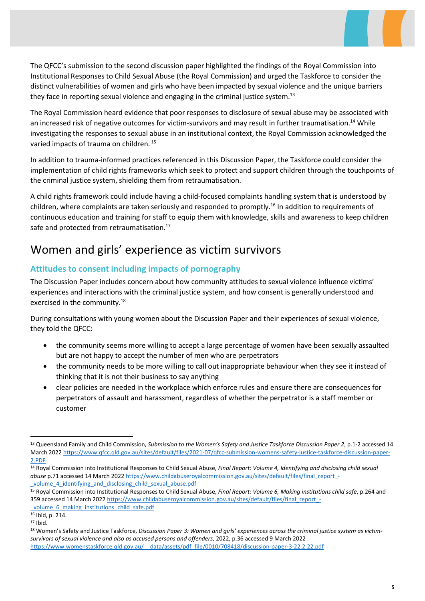The QFCC's submission to the second discussion paper highlighted the findings of the Royal Commission into Institutional Responses to Child Sexual Abuse (the Royal Commission) and urged the Taskforce to consider the distinct vulnerabilities of women and girls who have been impacted by sexual violence and the unique barriers they face in reporting sexual violence and engaging in the criminal justice system.<sup>13</sup>

The Royal Commission heard evidence that poor responses to disclosure of sexual abuse may be associated with an increased risk of negative outcomes for victim-survivors and may result in further traumatisation.<sup>14</sup> While investigating the responses to sexual abuse in an institutional context, the Royal Commission acknowledged the varied impacts of trauma on children.<sup>15</sup>

In addition to trauma-informed practices referenced in this Discussion Paper, the Taskforce could consider the implementation of child rights frameworks which seek to protect and support children through the touchpoints of the criminal justice system, shielding them from retraumatisation.

A child rights framework could include having a child-focused complaints handling system that is understood by children, where complaints are taken seriously and responded to promptly.<sup>16</sup> In addition to requirements of continuous education and training for staff to equip them with knowledge, skills and awareness to keep children safe and protected from retraumatisation.<sup>17</sup>

## Women and girls' experience as victim survivors

#### Attitudes to consent including impacts of pornography

The Discussion Paper includes concern about how community attitudes to sexual violence influence victims' experiences and interactions with the criminal justice system, and how consent is generally understood and exercised in the community.<sup>18</sup>

During consultations with young women about the Discussion Paper and their experiences of sexual violence, they told the QFCC:

- the community seems more willing to accept a large percentage of women have been sexually assaulted but are not happy to accept the number of men who are perpetrators
- the community needs to be more willing to call out inappropriate behaviour when they see it instead of thinking that it is not their business to say anything
- clear policies are needed in the workplace which enforce rules and ensure there are consequences for perpetrators of assault and harassment, regardless of whether the perpetrator is a staff member or customer

<sup>&</sup>lt;sup>13</sup> Queensland Family and Child Commission, Submission to the Women's Safety and Justice Taskforce Discussion Paper 2, p.1-2 accessed 14 March 2022 https://www.qfcc.qld.gov.au/sites/default/files/2021-07/qfcc-submission-womens-safety-justice-taskforce-discussion-paper-2.PDF

<sup>&</sup>lt;sup>14</sup> Royal Commission into Institutional Responses to Child Sexual Abuse, Final Report: Volume 4, Identifying and disclosing child sexual abuse p.71 accessed 14 March 2022 https://www.childabuseroyalcommission.gov.au/sites/default/files/final\_report\_volume 4 identifying and disclosing child sexual abuse.pdf

<sup>&</sup>lt;sup>15</sup> Royal Commission into Institutional Responses to Child Sexual Abuse, Final Report: Volume 6, Making institutions child safe, p.264 and 359 accessed 14 March 2022 https://www.childabuseroyalcommission.gov.au/sites/default/files/final\_report\_-

volume 6 making institutions child safe.pdf <sup>16</sup> Ibid, p. 214.

<sup>17</sup> Ibid.

<sup>&</sup>lt;sup>18</sup> Women's Safety and Justice Taskforce, Discussion Paper 3: Women and girls' experiences across the criminal justice system as victimsurvivors of sexual violence and also as accused persons and offenders, 2022, p.36 accessed 9 March 2022 https://www.womenstaskforce.qld.gov.au/\_\_data/assets/pdf\_file/0010/708418/discussion-paper-3-22.2.22.pdf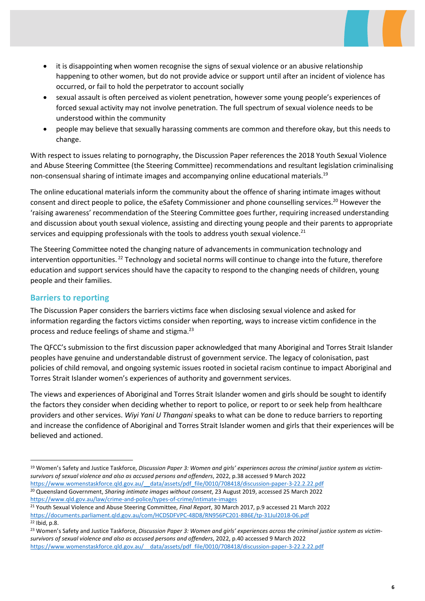- it is disappointing when women recognise the signs of sexual violence or an abusive relationship happening to other women, but do not provide advice or support until after an incident of violence has occurred, or fail to hold the perpetrator to account socially
- sexual assault is often perceived as violent penetration, however some young people's experiences of forced sexual activity may not involve penetration. The full spectrum of sexual violence needs to be understood within the community
- people may believe that sexually harassing comments are common and therefore okay, but this needs to change.

With respect to issues relating to pornography, the Discussion Paper references the 2018 Youth Sexual Violence and Abuse Steering Committee (the Steering Committee) recommendations and resultant legislation criminalising non-consensual sharing of intimate images and accompanying online educational materials.<sup>19</sup>

The online educational materials inform the community about the offence of sharing intimate images without consent and direct people to police, the eSafety Commissioner and phone counselling services.<sup>20</sup> However the 'raising awareness' recommendation of the Steering Committee goes further, requiring increased understanding and discussion about youth sexual violence, assisting and directing young people and their parents to appropriate services and equipping professionals with the tools to address youth sexual violence. $^{21}$ 

The Steering Committee noted the changing nature of advancements in communication technology and intervention opportunities.<sup>22</sup> Technology and societal norms will continue to change into the future, therefore education and support services should have the capacity to respond to the changing needs of children, young people and their families.

#### Barriers to reporting

The Discussion Paper considers the barriers victims face when disclosing sexual violence and asked for information regarding the factors victims consider when reporting, ways to increase victim confidence in the process and reduce feelings of shame and stigma.<sup>23</sup>

The QFCC's submission to the first discussion paper acknowledged that many Aboriginal and Torres Strait Islander peoples have genuine and understandable distrust of government service. The legacy of colonisation, past policies of child removal, and ongoing systemic issues rooted in societal racism continue to impact Aboriginal and Torres Strait Islander women's experiences of authority and government services.

The views and experiences of Aboriginal and Torres Strait Islander women and girls should be sought to identify the factors they consider when deciding whether to report to police, or report to or seek help from healthcare providers and other services. Wiyi Yani U Thangani speaks to what can be done to reduce barriers to reporting and increase the confidence of Aboriginal and Torres Strait Islander women and girls that their experiences will be believed and actioned.

<sup>&</sup>lt;sup>19</sup> Women's Safety and Justice Taskforce, Discussion Paper 3: Women and girls' experiences across the criminal justice system as victimsurvivors of sexual violence and also as accused persons and offenders, 2022, p.38 accessed 9 March 2022 https://www.womenstaskforce.qld.gov.au/\_\_data/assets/pdf\_file/0010/708418/discussion-paper-3-22.2.22.pdf <sup>20</sup> Queensland Government, Sharing intimate images without consent, 23 August 2019, accessed 25 March 2022 https://www.qld.gov.au/law/crime-and-police/types-of-crime/intimate-images

<sup>&</sup>lt;sup>21</sup> Youth Sexual Violence and Abuse Steering Committee, Final Report, 30 March 2017, p.9 accessed 21 March 2022 https://documents.parliament.qld.gov.au/com/HCDSDFVPC-48D8/RN956PC201-8B6E/tp-31Jul2018-06.pdf <sup>22</sup> Ibid, p.8.

<sup>&</sup>lt;sup>23</sup> Women's Safety and Justice Taskforce, Discussion Paper 3: Women and girls' experiences across the criminal justice system as victimsurvivors of sexual violence and also as accused persons and offenders, 2022, p.40 accessed 9 March 2022 https://www.womenstaskforce.qld.gov.au/\_\_data/assets/pdf\_file/0010/708418/discussion-paper-3-22.2.22.pdf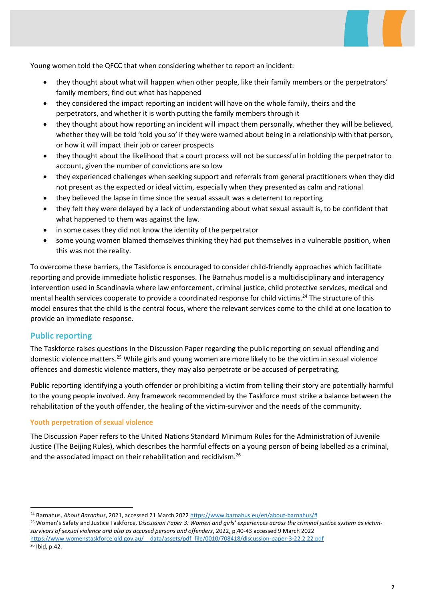

Young women told the QFCC that when considering whether to report an incident:

- they thought about what will happen when other people, like their family members or the perpetrators' family members, find out what has happened
- they considered the impact reporting an incident will have on the whole family, theirs and the perpetrators, and whether it is worth putting the family members through it
- they thought about how reporting an incident will impact them personally, whether they will be believed, whether they will be told 'told you so' if they were warned about being in a relationship with that person, or how it will impact their job or career prospects
- they thought about the likelihood that a court process will not be successful in holding the perpetrator to account, given the number of convictions are so low
- they experienced challenges when seeking support and referrals from general practitioners when they did not present as the expected or ideal victim, especially when they presented as calm and rational
- they believed the lapse in time since the sexual assault was a deterrent to reporting
- they felt they were delayed by a lack of understanding about what sexual assault is, to be confident that what happened to them was against the law.
- in some cases they did not know the identity of the perpetrator
- some young women blamed themselves thinking they had put themselves in a vulnerable position, when this was not the reality.

To overcome these barriers, the Taskforce is encouraged to consider child-friendly approaches which facilitate reporting and provide immediate holistic responses. The Barnahus model is a multidisciplinary and interagency intervention used in Scandinavia where law enforcement, criminal justice, child protective services, medical and mental health services cooperate to provide a coordinated response for child victims.<sup>24</sup> The structure of this model ensures that the child is the central focus, where the relevant services come to the child at one location to provide an immediate response.

#### Public reporting

The Taskforce raises questions in the Discussion Paper regarding the public reporting on sexual offending and domestic violence matters.<sup>25</sup> While girls and young women are more likely to be the victim in sexual violence offences and domestic violence matters, they may also perpetrate or be accused of perpetrating.

Public reporting identifying a youth offender or prohibiting a victim from telling their story are potentially harmful to the young people involved. Any framework recommended by the Taskforce must strike a balance between the rehabilitation of the youth offender, the healing of the victim-survivor and the needs of the community.

#### Youth perpetration of sexual violence

The Discussion Paper refers to the United Nations Standard Minimum Rules for the Administration of Juvenile Justice (The Beijing Rules), which describes the harmful effects on a young person of being labelled as a criminal, and the associated impact on their rehabilitation and recidivism.<sup>26</sup>

<sup>&</sup>lt;sup>24</sup> Barnahus, About Barnahus, 2021, accessed 21 March 2022 https://www.barnahus.eu/en/about-barnahus/#

<sup>&</sup>lt;sup>25</sup> Women's Safety and Justice Taskforce, Discussion Paper 3: Women and girls' experiences across the criminal justice system as victimsurvivors of sexual violence and also as accused persons and offenders, 2022, p.40-43 accessed 9 March 2022 https://www.womenstaskforce.qld.gov.au/\_\_data/assets/pdf\_file/0010/708418/discussion-paper-3-22.2.22.pdf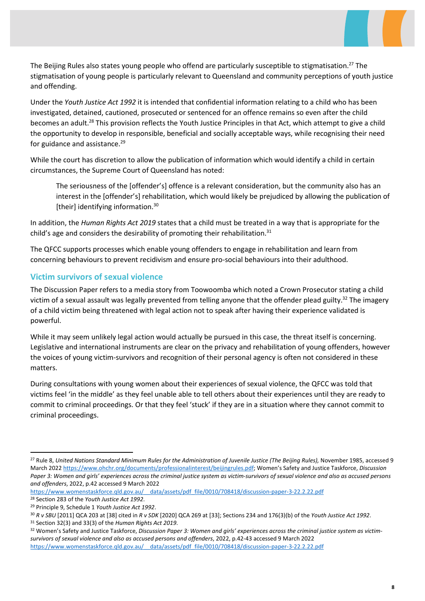The Beijing Rules also states young people who offend are particularly susceptible to stigmatisation.<sup>27</sup> The stigmatisation of young people is particularly relevant to Queensland and community perceptions of youth justice and offending.

Under the Youth Justice Act 1992 it is intended that confidential information relating to a child who has been investigated, detained, cautioned, prosecuted or sentenced for an offence remains so even after the child becomes an adult.<sup>28</sup> This provision reflects the Youth Justice Principles in that Act, which attempt to give a child the opportunity to develop in responsible, beneficial and socially acceptable ways, while recognising their need for guidance and assistance. $29$ 

While the court has discretion to allow the publication of information which would identify a child in certain circumstances, the Supreme Court of Queensland has noted:

The seriousness of the [offender's] offence is a relevant consideration, but the community also has an interest in the [offender's] rehabilitation, which would likely be prejudiced by allowing the publication of [their] identifying information.<sup>30</sup>

In addition, the Human Rights Act 2019 states that a child must be treated in a way that is appropriate for the child's age and considers the desirability of promoting their rehabilitation. $31$ 

The QFCC supports processes which enable young offenders to engage in rehabilitation and learn from concerning behaviours to prevent recidivism and ensure pro-social behaviours into their adulthood.

#### Victim survivors of sexual violence

The Discussion Paper refers to a media story from Toowoomba which noted a Crown Prosecutor stating a child victim of a sexual assault was legally prevented from telling anyone that the offender plead guilty.<sup>32</sup> The imagery of a child victim being threatened with legal action not to speak after having their experience validated is powerful.

While it may seem unlikely legal action would actually be pursued in this case, the threat itself is concerning. Legislative and international instruments are clear on the privacy and rehabilitation of young offenders, however the voices of young victim-survivors and recognition of their personal agency is often not considered in these matters.

During consultations with young women about their experiences of sexual violence, the QFCC was told that victims feel 'in the middle' as they feel unable able to tell others about their experiences until they are ready to commit to criminal proceedings. Or that they feel 'stuck' if they are in a situation where they cannot commit to criminal proceedings.

https://www.womenstaskforce.qld.gov.au/\_\_data/assets/pdf\_file/0010/708418/discussion-paper-3-22.2.22.pdf <sup>28</sup> Section 283 of the Youth Justice Act 1992.

<sup>&</sup>lt;sup>27</sup> Rule 8, United Nations Standard Minimum Rules for the Administration of Juvenile Justice (The Beijing Rules), November 1985, accessed 9 March 2022 https://www.ohchr.org/documents/professionalinterest/beijingrules.pdf; Women's Safety and Justice Taskforce, Discussion Paper 3: Women and girls' experiences across the criminal justice system as victim-survivors of sexual violence and also as accused persons and offenders, 2022, p.42 accessed 9 March 2022

<sup>29</sup> Principle 9, Schedule 1 Youth Justice Act 1992.

<sup>30</sup> R v SBU [2011] QCA 203 at [38] cited in R v SDK [2020] QCA 269 at [33]; Sections 234 and 176(3)(b) of the Youth Justice Act 1992. <sup>31</sup> Section 32(3) and 33(3) of the Human Rights Act 2019.

<sup>32</sup> Women's Safety and Justice Taskforce, Discussion Paper 3: Women and girls' experiences across the criminal justice system as victimsurvivors of sexual violence and also as accused persons and offenders, 2022, p.42-43 accessed 9 March 2022 https://www.womenstaskforce.qld.gov.au/\_\_data/assets/pdf\_file/0010/708418/discussion-paper-3-22.2.22.pdf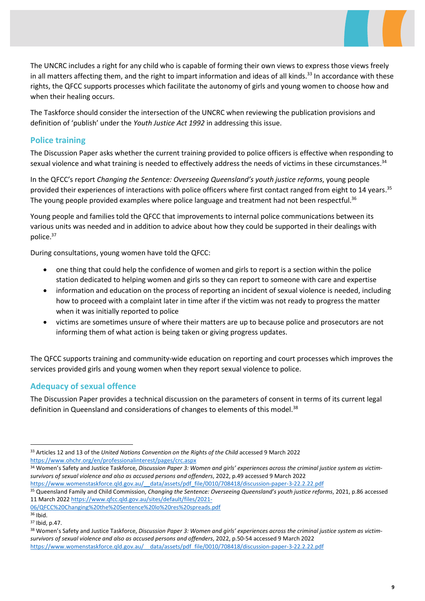The UNCRC includes a right for any child who is capable of forming their own views to express those views freely in all matters affecting them, and the right to impart information and ideas of all kinds.<sup>33</sup> In accordance with these rights, the QFCC supports processes which facilitate the autonomy of girls and young women to choose how and when their healing occurs.

The Taskforce should consider the intersection of the UNCRC when reviewing the publication provisions and definition of 'publish' under the Youth Justice Act 1992 in addressing this issue.

#### Police training

The Discussion Paper asks whether the current training provided to police officers is effective when responding to sexual violence and what training is needed to effectively address the needs of victims in these circumstances.<sup>34</sup>

In the QFCC's report Changing the Sentence: Overseeing Queensland's youth justice reforms, young people provided their experiences of interactions with police officers where first contact ranged from eight to 14 years.<sup>35</sup> The young people provided examples where police language and treatment had not been respectful.<sup>36</sup>

Young people and families told the QFCC that improvements to internal police communications between its various units was needed and in addition to advice about how they could be supported in their dealings with police.<sup>37</sup>

During consultations, young women have told the QFCC:

- one thing that could help the confidence of women and girls to report is a section within the police station dedicated to helping women and girls so they can report to someone with care and expertise
- information and education on the process of reporting an incident of sexual violence is needed, including how to proceed with a complaint later in time after if the victim was not ready to progress the matter when it was initially reported to police
- victims are sometimes unsure of where their matters are up to because police and prosecutors are not informing them of what action is being taken or giving progress updates.

The QFCC supports training and community-wide education on reporting and court processes which improves the services provided girls and young women when they report sexual violence to police.

#### Adequacy of sexual offence

The Discussion Paper provides a technical discussion on the parameters of consent in terms of its current legal definition in Queensland and considerations of changes to elements of this model.<sup>38</sup>

https://www.womenstaskforce.qld.gov.au/\_\_data/assets/pdf\_file/0010/708418/discussion-paper-3-22.2.22.pdf

35 Queensland Family and Child Commission, Changing the Sentence: Overseeing Queensland's youth justice reforms, 2021, p.86 accessed 11 March 2022 https://www.qfcc.qld.gov.au/sites/default/files/2021-

06/QFCC%20Changing%20the%20Sentence%20lo%20res%20spreads.pdf

<sup>&</sup>lt;sup>33</sup> Articles 12 and 13 of the United Nations Convention on the Rights of the Child accessed 9 March 2022 https://www.ohchr.org/en/professionalinterest/pages/crc.aspx

<sup>34</sup> Women's Safety and Justice Taskforce, Discussion Paper 3: Women and girls' experiences across the criminal justice system as victimsurvivors of sexual violence and also as accused persons and offenders, 2022, p.49 accessed 9 March 2022

<sup>36</sup> Ibid. <sup>37</sup> Ibid, p.47.

<sup>&</sup>lt;sup>38</sup> Women's Safety and Justice Taskforce, Discussion Paper 3: Women and girls' experiences across the criminal justice system as victimsurvivors of sexual violence and also as accused persons and offenders, 2022, p.50-54 accessed 9 March 2022

https://www.womenstaskforce.qld.gov.au/\_\_data/assets/pdf\_file/0010/708418/discussion-paper-3-22.2.22.pdf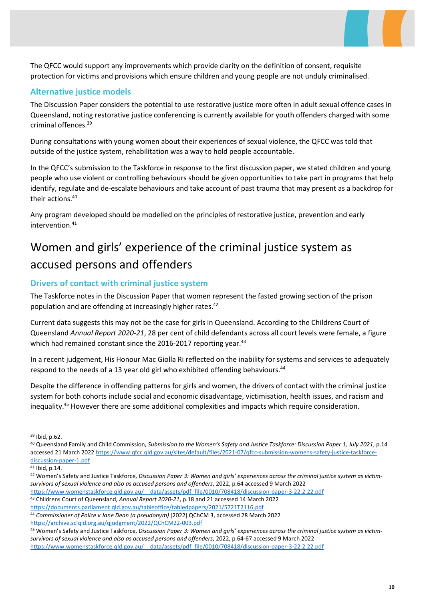The QFCC would support any improvements which provide clarity on the definition of consent, requisite protection for victims and provisions which ensure children and young people are not unduly criminalised.

#### Alternative justice models

The Discussion Paper considers the potential to use restorative justice more often in adult sexual offence cases in Queensland, noting restorative justice conferencing is currently available for youth offenders charged with some criminal offences.<sup>39</sup>

During consultations with young women about their experiences of sexual violence, the QFCC was told that outside of the justice system, rehabilitation was a way to hold people accountable.

In the QFCC's submission to the Taskforce in response to the first discussion paper, we stated children and young people who use violent or controlling behaviours should be given opportunities to take part in programs that help identify, regulate and de-escalate behaviours and take account of past trauma that may present as a backdrop for their actions.<sup>40</sup>

Any program developed should be modelled on the principles of restorative justice, prevention and early  $intervention<sup>41</sup>$ 

## Women and girls' experience of the criminal justice system as accused persons and offenders

#### Drivers of contact with criminal justice system

The Taskforce notes in the Discussion Paper that women represent the fasted growing section of the prison population and are offending at increasingly higher rates.<sup>42</sup>

Current data suggests this may not be the case for girls in Queensland. According to the Childrens Court of Queensland Annual Report 2020-21, 28 per cent of child defendants across all court levels were female, a figure which had remained constant since the 2016-2017 reporting year.<sup>43</sup>

In a recent judgement, His Honour Mac Giolla Ri reflected on the inability for systems and services to adequately respond to the needs of a 13 year old girl who exhibited offending behaviours.<sup>44</sup>

Despite the difference in offending patterns for girls and women, the drivers of contact with the criminal justice system for both cohorts include social and economic disadvantage, victimisation, health issues, and racism and inequality.<sup>45</sup> However there are some additional complexities and impacts which require consideration.

- https://www.womenstaskforce.qld.gov.au/\_\_data/assets/pdf\_file/0010/708418/discussion-paper-3-22.2.22.pdf
- 43 Childrens Court of Queensland, Annual Report 2020-21, p.18 and 21 accessed 14 March 2022 https://documents.parliament.qld.gov.au/tableoffice/tabledpapers/2021/5721T2116.pdf
- <sup>44</sup> Commissioner of Police v Jane Dean (a pseudonym) [2022] QChCM 3, accessed 28 March 2022

https://archive.sclqld.org.au/qjudgment/2022/QChCM22-003.pdf

<sup>45</sup> Women's Safety and Justice Taskforce, Discussion Paper 3: Women and girls' experiences across the criminal justice system as victimsurvivors of sexual violence and also as accused persons and offenders, 2022, p.64-67 accessed 9 March 2022 https://www.womenstaskforce.qld.gov.au/\_\_data/assets/pdf\_file/0010/708418/discussion-paper-3-22.2.22.pdf

<sup>39</sup> Ibid, p.62.

<sup>40</sup> Queensland Family and Child Commission, Submission to the Women's Safety and Justice Taskforce: Discussion Paper 1, July 2021, p.14 accessed 21 March 2022 https://www.qfcc.qld.gov.au/sites/default/files/2021-07/qfcc-submission-womens-safety-justice-taskforcediscussion-paper-1.pdf

<sup>41</sup> Ibid, p.14.

<sup>42</sup> Women's Safety and Justice Taskforce, Discussion Paper 3: Women and girls' experiences across the criminal justice system as victimsurvivors of sexual violence and also as accused persons and offenders, 2022, p.64 accessed 9 March 2022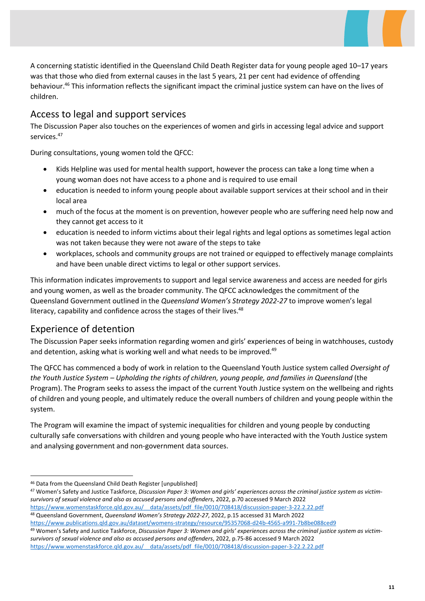A concerning statistic identified in the Queensland Child Death Register data for young people aged 10–17 years was that those who died from external causes in the last 5 years, 21 per cent had evidence of offending behaviour.<sup>46</sup> This information reflects the significant impact the criminal justice system can have on the lives of children.

### Access to legal and support services

The Discussion Paper also touches on the experiences of women and girls in accessing legal advice and support services.<sup>47</sup>

During consultations, young women told the QFCC:

- Kids Helpline was used for mental health support, however the process can take a long time when a young woman does not have access to a phone and is required to use email
- education is needed to inform young people about available support services at their school and in their local area
- much of the focus at the moment is on prevention, however people who are suffering need help now and they cannot get access to it
- education is needed to inform victims about their legal rights and legal options as sometimes legal action was not taken because they were not aware of the steps to take
- workplaces, schools and community groups are not trained or equipped to effectively manage complaints and have been unable direct victims to legal or other support services.

This information indicates improvements to support and legal service awareness and access are needed for girls and young women, as well as the broader community. The QFCC acknowledges the commitment of the Queensland Government outlined in the Queensland Women's Strategy 2022-27 to improve women's legal literacy, capability and confidence across the stages of their lives.<sup>48</sup>

### Experience of detention

The Discussion Paper seeks information regarding women and girls' experiences of being in watchhouses, custody and detention, asking what is working well and what needs to be improved.<sup>49</sup>

The QFCC has commenced a body of work in relation to the Queensland Youth Justice system called Oversight of the Youth Justice System – Upholding the rights of children, young people, and families in Queensland (the Program). The Program seeks to assess the impact of the current Youth Justice system on the wellbeing and rights of children and young people, and ultimately reduce the overall numbers of children and young people within the system.

The Program will examine the impact of systemic inequalities for children and young people by conducting culturally safe conversations with children and young people who have interacted with the Youth Justice system and analysing government and non-government data sources.

47 Women's Safety and Justice Taskforce, Discussion Paper 3: Women and girls' experiences across the criminal justice system as victimsurvivors of sexual violence and also as accused persons and offenders, 2022, p.70 accessed 9 March 2022

https://www.womenstaskforce.qld.gov.au/\_\_data/assets/pdf\_file/0010/708418/discussion-paper-3-22.2.22.pdf <sup>48</sup> Queensland Government, Queensland Women's Strategy 2022-27, 2022, p.15 accessed 31 March 2022

<sup>49</sup> Women's Safety and Justice Taskforce, Discussion Paper 3: Women and girls' experiences across the criminal justice system as victimsurvivors of sexual violence and also as accused persons and offenders, 2022, p.75-86 accessed 9 March 2022

https://www.womenstaskforce.qld.gov.au/\_\_data/assets/pdf\_file/0010/708418/discussion-paper-3-22.2.22.pdf

<sup>46</sup> Data from the Queensland Child Death Register [unpublished]

https://www.publications.qld.gov.au/dataset/womens-strategy/resource/95357068-d24b-4565-a991-7b8be088ced9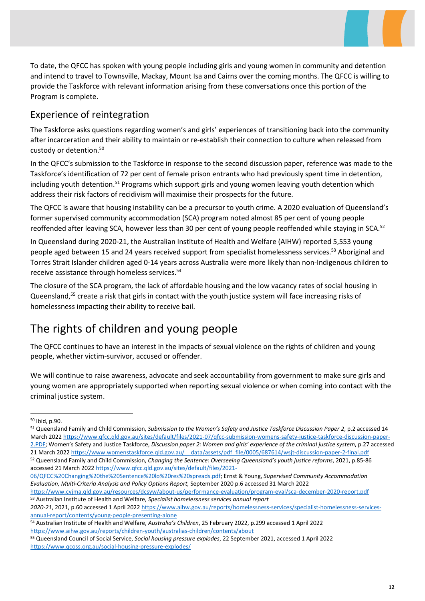To date, the QFCC has spoken with young people including girls and young women in community and detention and intend to travel to Townsville, Mackay, Mount Isa and Cairns over the coming months. The QFCC is willing to provide the Taskforce with relevant information arising from these conversations once this portion of the Program is complete.

#### Experience of reintegration

The Taskforce asks questions regarding women's and girls' experiences of transitioning back into the community after incarceration and their ability to maintain or re-establish their connection to culture when released from custody or detention.<sup>50</sup>

In the QFCC's submission to the Taskforce in response to the second discussion paper, reference was made to the Taskforce's identification of 72 per cent of female prison entrants who had previously spent time in detention, including youth detention.<sup>51</sup> Programs which support girls and young women leaving youth detention which address their risk factors of recidivism will maximise their prospects for the future.

The QFCC is aware that housing instability can be a precursor to youth crime. A 2020 evaluation of Queensland's former supervised community accommodation (SCA) program noted almost 85 per cent of young people reoffended after leaving SCA, however less than 30 per cent of young people reoffended while staying in SCA.<sup>52</sup>

In Queensland during 2020-21, the Australian Institute of Health and Welfare (AIHW) reported 5,553 young people aged between 15 and 24 years received support from specialist homelessness services.<sup>53</sup> Aboriginal and Torres Strait Islander children aged 0-14 years across Australia were more likely than non-Indigenous children to receive assistance through homeless services.<sup>54</sup>

The closure of the SCA program, the lack of affordable housing and the low vacancy rates of social housing in Queensland,<sup>55</sup> create a risk that girls in contact with the youth justice system will face increasing risks of homelessness impacting their ability to receive bail.

## The rights of children and young people

The QFCC continues to have an interest in the impacts of sexual violence on the rights of children and young people, whether victim-survivor, accused or offender.

We will continue to raise awareness, advocate and seek accountability from government to make sure girls and young women are appropriately supported when reporting sexual violence or when coming into contact with the criminal justice system.

- 06/QFCC%20Changing%20the%20Sentence%20lo%20res%20spreads.pdf; Ernst & Young, Supervised Community Accommodation Evaluation, Multi-Criteria Analysis and Policy Options Report, September 2020 p.6 accessed 31 March 2022
- https://www.cyjma.qld.gov.au/resources/dcsyw/about-us/performance-evaluation/program-eval/sca-december-2020-report.pdf 53 Australian Institute of Health and Welfare, Specialist homelessness services annual report

<sup>50</sup> Ibid, p.90.

<sup>&</sup>lt;sup>51</sup> Queensland Family and Child Commission, Submission to the Women's Safety and Justice Taskforce Discussion Paper 2, p.2 accessed 14 March 2022 https://www.qfcc.qld.gov.au/sites/default/files/2021-07/qfcc-submission-womens-safety-justice-taskforce-discussion-paper-2.PDF; Women's Safety and Justice Taskforce, Discussion paper 2: Women and girls' experience of the criminal justice system, p.27 accessed 21 March 2022 https://www.womenstaskforce.qld.gov.au/ data/assets/pdf file/0005/687614/wsjt-discussion-paper-2-final.pdf 52 Queensland Family and Child Commission, Changing the Sentence: Overseeing Queensland's youth justice reforms, 2021, p.85-86 accessed 21 March 2022 https://www.qfcc.qld.gov.au/sites/default/files/2021-

<sup>2020-21</sup>, 2021, p.60 accessed 1 April 2022 https://www.aihw.gov.au/reports/homelessness-services/specialist-homelessness-servicesannual-report/contents/young-people-presenting-alone

<sup>54</sup> Australian Institute of Health and Welfare, Australia's Children, 25 February 2022, p.299 accessed 1 April 2022 https://www.aihw.gov.au/reports/children-youth/australias-children/contents/about

<sup>55</sup> Queensland Council of Social Service, Social housing pressure explodes, 22 September 2021, accessed 1 April 2022 https://www.qcoss.org.au/social-housing-pressure-explodes/